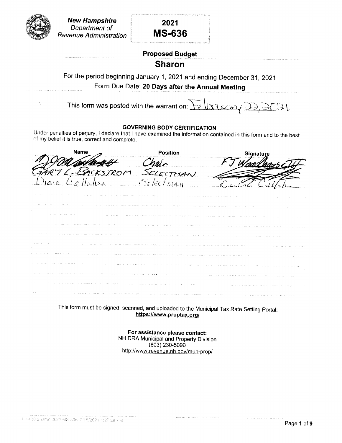

### Proposed Budget

### Sharon

For the period beginning January 1,2021and ending December 31, 2021 Form Due Date: 20 Days after the Annual Meeting

This form was posted with the warrant on: <u>recory de</u>  $J\mathcal{L}$ 

#### GOVERN!NG BODY CERTIFICATION

Under penalties of perjury, I declare that I have examined the information contained in this form and to the best of my belief it is true, correct and complete.

Name And Desirion FOUGHAMENT Chair<br>11 L, BACKSTROM SELECTMAN  $\alpha$ ile  $\angle$ Piane Calladian  $S_{e}/\epsilon c/\epsilon_{\ell a \eta}$ 

|                                                                              |                                                                                                                                                                                                                                | . 1916 области семес принясляют министрации традиционных началостики и состояни должно на принясных получили п |                                |
|------------------------------------------------------------------------------|--------------------------------------------------------------------------------------------------------------------------------------------------------------------------------------------------------------------------------|----------------------------------------------------------------------------------------------------------------|--------------------------------|
|                                                                              | the second contract provide the progress of the process of the second proposed and produced and the second contract of the second second second second second second second second second second second second second second s |                                                                                                                | the part of the company of the |
|                                                                              | وخرزا والداع والاستعاد وتواصيه والمواصلة والمواصلي المسافر والمسافر والمرابط والمرابط والمتحدث المتحدث والمستقاد والمسافر والمتحدث                                                                                             |                                                                                                                |                                |
| control of the state of the                                                  | <b>Contract Contract</b><br>on manazing a series and a series decreased a series provided the production construction of the series of the series                                                                              |                                                                                                                |                                |
|                                                                              | amat tertambang pertambang dia tertambang panah panah salah pang dia dia dia pang pangang pangangang pang pang                                                                                                                 |                                                                                                                |                                |
|                                                                              | 2 die eer emer kakely van paalmad die eers en die voorbeeld van die eerste die eers ook een die begeen die bedr                                                                                                                |                                                                                                                |                                |
|                                                                              | t strikten handels i den men mannen men britten i den som som betalligen med men av den blev den av mynnen med                                                                                                                 | the state of the state                                                                                         |                                |
| the company of the company of the property of the property of the company of | and a search control of the company of the search of the season of the company of the policy particles of the company of the control of the company of the company of the company of the company of the company of the company |                                                                                                                |                                |
|                                                                              | ter et en chemical de la composició de la composició de la composició de la composició de la composició de la composició de la composició de la composició de la composició de la composició de la composició de la composició |                                                                                                                |                                |
|                                                                              | ottailun genesessa semi 1975. Samen eli ilma keeli selli selli selli selli selli selli selli selli selli selli                                                                                                                 |                                                                                                                |                                |

This form must be signed, scanned, and uploaded to the MunicipalTax Rate Setting portal: https://www.proptax.org/

> For assistance please contact: NH DRA Municipal and property Division (603) 230-s090 http://www.revenue.nh.gov/mun-prop/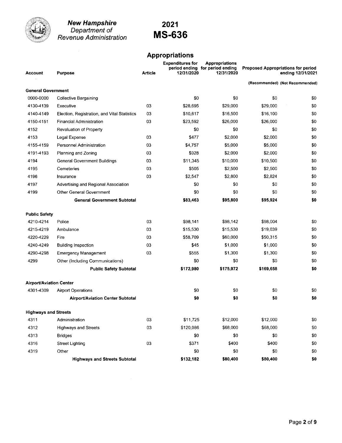

**New Hampshire**<br>Department of<br>Revenue Administration

## 2021 **MS-636**

#### **Appropriations**

| <b>Account</b>                 | <b>Purpose</b>                               | <b>Article</b> | <b>Expenditures for</b><br>12/31/2020 | <b>Appropriations</b><br>period ending for period ending<br>12/31/2020 |           | <b>Proposed Appropriations for period</b><br>ending 12/31/2021 |
|--------------------------------|----------------------------------------------|----------------|---------------------------------------|------------------------------------------------------------------------|-----------|----------------------------------------------------------------|
|                                |                                              |                |                                       |                                                                        |           | (Recommended) (Not Recommended)                                |
| <b>General Government</b>      |                                              |                |                                       |                                                                        |           |                                                                |
| 0000-0000                      | <b>Collective Bargaining</b>                 |                | \$0                                   | \$0                                                                    | \$0       | \$0                                                            |
| 4130-4139                      | Executive                                    | 03             | \$28,695                              | \$29,000                                                               | \$29,000  | \$0                                                            |
| 4140-4149                      | Election, Registration, and Vital Statistics | 03             | \$10,617                              | \$16,500                                                               | \$16,100  | \$0                                                            |
| 4150-4151                      | Financial Administration                     | 03             | \$23,592                              | \$26,000                                                               | \$26,000  | \$0                                                            |
| 4152                           | Revaluation of Property                      |                | \$0                                   | \$0                                                                    | \$0       | \$0                                                            |
| 4153                           | Legal Expense                                | 03             | \$477                                 | \$2,000                                                                | \$2,000   | \$0                                                            |
| 4155-4159                      | Personnel Administration                     | 03             | \$4,757                               | \$5,000                                                                | \$5,000   | \$0                                                            |
| 4191-4193                      | Planning and Zoning                          | 03             | \$928                                 | \$2,000                                                                | \$2,000   | \$0                                                            |
| 4194                           | <b>General Government Buildings</b>          | 03             | \$11,345                              | \$10,000                                                               | \$10,500  | \$0                                                            |
| 4195                           | Cemeteries                                   | 03             | \$505                                 | \$2,500                                                                | \$2,500   | \$0                                                            |
| 4196                           | Insurance                                    | 03             | \$2,547                               | \$2,800                                                                | \$2,824   | \$0                                                            |
| 4197                           | Advertising and Regional Association         |                | \$0                                   | \$0                                                                    | \$0       | \$0                                                            |
| 4199                           | Other General Government                     |                | \$0                                   | \$0                                                                    | \$0       | \$0                                                            |
|                                | <b>General Government Subtotal</b>           |                | \$83,463                              | \$95,800                                                               | \$95,924  | \$0                                                            |
| <b>Public Safety</b>           |                                              |                |                                       |                                                                        |           |                                                                |
| 4210-4214                      | Police                                       | 03             | \$98,141                              | \$98,142                                                               | \$98,004  | \$0                                                            |
| 4215-4219                      | Ambulance                                    | 03             | \$15,530                              | \$15,530                                                               | \$19,039  | \$0                                                            |
| 4220-4229                      | Fire                                         | 03             | \$58,709                              | \$60,000                                                               | \$50,315  | \$0                                                            |
| 4240-4249                      | <b>Building Inspection</b>                   | 03             | \$45                                  | \$1,000                                                                | \$1,000   | \$0                                                            |
| 4290-4298                      | <b>Emergency Management</b>                  | 03             | \$555                                 | \$1,300                                                                | \$1,300   | \$0                                                            |
| 4299                           | Other (Including Communications)             |                | \$0                                   | \$0                                                                    | \$0       | \$0                                                            |
|                                | <b>Public Safety Subtotal</b>                |                | \$172,980                             | \$175,972                                                              | \$169,658 | \$0                                                            |
| <b>Airport/Aviation Center</b> |                                              |                |                                       |                                                                        |           |                                                                |
| 4301-4309                      | <b>Airport Operations</b>                    |                | \$0                                   | \$0                                                                    | \$0       | \$0                                                            |
|                                | <b>Airport/Aviation Center Subtotal</b>      |                | \$0                                   | \$0                                                                    | \$0       | \$0                                                            |
| <b>Highways and Streets</b>    |                                              |                |                                       |                                                                        |           |                                                                |
| 4311                           | Administration                               | 03             | \$11,725                              | \$12,000                                                               | \$12,000  | \$0                                                            |
| 4312                           | <b>Highways and Streets</b>                  | 03             | \$120,086                             | \$68,000                                                               | \$68,000  | \$0                                                            |
| 4313                           | <b>Bridges</b>                               |                | \$0                                   | \$0                                                                    | \$0       | \$0                                                            |
| 4316                           | <b>Street Lighting</b>                       | 03             | \$371                                 | \$400                                                                  | \$400     | \$0                                                            |
| 4319                           | Other                                        |                | \$0                                   | \$0                                                                    | \$0       | \$0                                                            |
|                                | <b>Highways and Streets Subtotal</b>         |                | \$132,182                             | \$80,400                                                               | \$80,400  | \$0                                                            |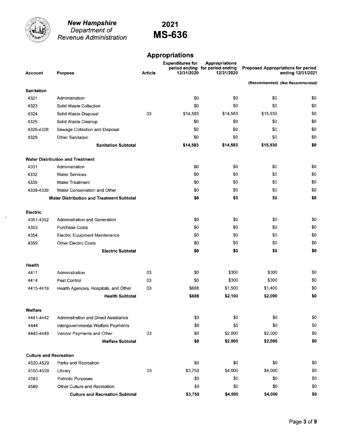

**New Hampshire**<br>Department of<br>Revenue Administration

### 2021 **MS-636**

### **Appropriations**

| <b>Account</b>                | <b>Purpose</b>                                   | <b>Article</b> | <b>Expenditures for</b><br>12/31/2020 | <b>Appropriations</b><br>period ending for period ending<br>12/31/2020 |          | <b>Proposed Appropriations for period</b><br>ending 12/31/2021 |
|-------------------------------|--------------------------------------------------|----------------|---------------------------------------|------------------------------------------------------------------------|----------|----------------------------------------------------------------|
|                               |                                                  |                |                                       |                                                                        |          | (Recommended) (Not Recommended)                                |
| <b>Sanitation</b>             |                                                  |                |                                       |                                                                        |          |                                                                |
| 4321                          | Administration                                   |                | \$0                                   | \$0                                                                    | \$0      | \$0                                                            |
| 4323                          | Solid Waste Collection                           |                | \$0                                   | \$0                                                                    | \$0      | \$0                                                            |
| 4324                          | Solid Waste Disposal                             | 03             | \$14,583                              | \$14,583                                                               | \$15,930 | \$0                                                            |
| 4325                          | Solid Waste Cleanup                              |                | \$0                                   | \$0                                                                    | \$0      | \$0                                                            |
| 4326-4328                     | Sewage Collection and Disposal                   |                | \$0                                   | \$0                                                                    | \$0      | \$0                                                            |
| 4329                          | <b>Other Sanitation</b>                          |                | \$0                                   | \$0                                                                    | \$0      | \$0                                                            |
|                               | <b>Sanitation Subtotal</b>                       |                | \$14,583                              | \$14,583                                                               | \$15,930 | \$0                                                            |
|                               | <b>Water Distribution and Treatment</b>          |                |                                       |                                                                        |          |                                                                |
| 4331                          | Administration                                   |                | \$0                                   | \$0                                                                    | \$0      | \$0                                                            |
| 4332                          | <b>Water Services</b>                            |                | \$0                                   | \$0                                                                    | \$0      | \$0                                                            |
| 4335                          | <b>Water Treatment</b>                           |                | \$0                                   | \$0                                                                    | \$0      | \$0                                                            |
| 4338-4339                     | Water Conservation and Other                     |                | \$0                                   | SO.                                                                    | \$0      | \$0                                                            |
|                               | <b>Water Distribution and Treatment Subtotal</b> |                | \$0                                   | \$0                                                                    | \$0      | \$0                                                            |
| Electric                      |                                                  |                |                                       |                                                                        |          |                                                                |
| 4351 4352                     | <b>Administration and Generation</b>             |                | \$0                                   | \$0                                                                    | \$0      | \$0                                                            |
| 4353                          | <b>Purchase Costs</b>                            |                | \$0                                   | \$0                                                                    | \$0      | \$0                                                            |
| 4354                          | Electric Equipment Maintenance                   |                | \$0                                   | \$0                                                                    | \$0      | \$0                                                            |
| 4359                          | <b>Other Electric Costs</b>                      |                | \$0                                   | \$0                                                                    | \$0      | \$0                                                            |
|                               | <b>Electric Subtotal</b>                         |                | \$0                                   | \$0                                                                    | \$0      | \$0                                                            |
| Health                        |                                                  |                |                                       |                                                                        |          |                                                                |
| 4411                          | Administration                                   | 03             | \$0                                   | \$300                                                                  | \$300    | \$0                                                            |
| 4414                          | Pest Control                                     | 03             | \$0                                   | \$300                                                                  | \$300    | \$0                                                            |
| 4415-4419                     | Health Agencies, Hospitals, and Other            | 03             | \$688                                 | \$1,500                                                                | \$1,400  | \$0                                                            |
|                               | <b>Health Subtotal</b>                           |                | \$688                                 | \$2,100                                                                | \$2,000  | \$0                                                            |
| Welfare                       |                                                  |                |                                       |                                                                        |          |                                                                |
| 4441-4442                     | Administration and Direct Assistance             |                | \$0                                   | \$0                                                                    | \$0      | \$0                                                            |
| 4444                          | Intergovernmental Welfare Payments               |                | \$0                                   | \$0                                                                    | \$0      | \$0                                                            |
| 4445-4449                     | Vendor Payments and Other                        | 03             | \$0                                   | \$2,000                                                                | \$2,000  | \$0                                                            |
|                               | <b>Welfare Subtotal</b>                          |                | \$0                                   | \$2,000                                                                | \$2,000  | \$0                                                            |
| <b>Culture and Recreation</b> |                                                  |                |                                       |                                                                        |          |                                                                |
| 4520-4529                     | Parks and Recreation                             |                | \$0                                   | \$0                                                                    | \$0      | \$0                                                            |
| 4550-4559                     | Library                                          | 03             | \$3,750                               | \$4,000                                                                | \$4,000  | \$0                                                            |
| 4583                          | Patriotic Purposes                               |                | \$0                                   | \$0                                                                    | \$0      | \$0                                                            |
| 4589                          | Other Culture and Recreation                     |                | \$0                                   | \$0                                                                    | \$0      | \$0                                                            |
|                               | <b>Culture and Recreation Subtotal</b>           |                | \$3,750                               | \$4,000                                                                | \$4,000  | \$0                                                            |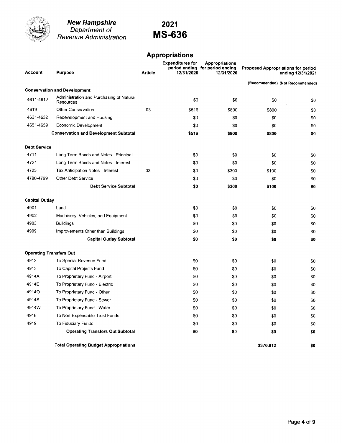

**New Hampshire**<br>Department of Revenue Administration

### 2021 **MS-636**

### **Appropriations**

| <b>Account</b>                 | <b>Purpose</b>                                        | Article | <b>Expenditures for</b><br>12/31/2020 | <b>Appropriations</b><br>period ending for period ending<br>12/31/2020 |           | <b>Proposed Appropriations for period</b><br>ending 12/31/2021 |
|--------------------------------|-------------------------------------------------------|---------|---------------------------------------|------------------------------------------------------------------------|-----------|----------------------------------------------------------------|
|                                |                                                       |         |                                       |                                                                        |           | (Recommended) (Not Recommended)                                |
|                                | <b>Conservation and Development</b>                   |         |                                       |                                                                        |           |                                                                |
| 4611-4612                      | Administration and Purchasing of Natural<br>Resources |         | \$0                                   | \$0                                                                    | \$0       | \$0                                                            |
| 4619                           | <b>Other Conservation</b>                             | 03      | \$516                                 | \$800                                                                  | \$800     | \$0                                                            |
| 4631-4632                      | Redevelopment and Housing                             |         | \$0                                   | \$0                                                                    | \$0       | \$0                                                            |
| 4651-4659                      | Economic Development                                  |         | \$0                                   | \$0                                                                    | \$0       | \$0                                                            |
|                                | <b>Conservation and Development Subtotal</b>          |         | \$516                                 | \$800                                                                  | \$800     | \$0                                                            |
| <b>Debt Service</b>            |                                                       |         |                                       |                                                                        |           |                                                                |
| 4711                           | Long Term Bonds and Notes - Principal                 |         | \$0                                   | \$0                                                                    | \$0       | \$0                                                            |
| 4721                           | Long Term Bonds and Notes - Interest                  |         | \$0                                   | \$0                                                                    | \$0       | \$0                                                            |
| 4723                           | Tax Anticipation Notes - Interest                     | 03      | \$0                                   | \$300                                                                  | \$100     | \$0                                                            |
| 4790-4799                      | <b>Other Debt Service</b>                             |         | \$0                                   | \$0                                                                    | \$0       | \$0                                                            |
|                                | <b>Debt Service Subtotal</b>                          |         | \$0                                   | \$300                                                                  | \$100     | \$0                                                            |
| <b>Capital Outlay</b>          |                                                       |         |                                       |                                                                        |           |                                                                |
| 4901                           | Land                                                  |         | \$0                                   | \$0                                                                    | \$0       | \$0                                                            |
| 4902                           | Machinery, Vehicles, and Equipment                    |         | \$0                                   | \$0                                                                    | \$0       | \$0                                                            |
| 4903                           | <b>Buildings</b>                                      |         | \$0                                   | \$0                                                                    | \$0       | \$0                                                            |
| 4909                           | Improvements Other than Buildings                     |         | \$0                                   | \$0                                                                    | \$0       | \$0                                                            |
|                                | <b>Capital Outlay Subtotal</b>                        |         | \$0                                   | \$0                                                                    | \$0       | \$0                                                            |
| <b>Operating Transfers Out</b> |                                                       |         |                                       |                                                                        |           |                                                                |
| 4912                           | To Special Revenue Fund                               |         | \$0                                   | \$0                                                                    | \$0       | \$0                                                            |
| 4913                           | To Capital Projects Fund                              |         | \$0                                   | \$0                                                                    | \$0       | \$0                                                            |
| 4914A                          | To Proprietary Fund - Airport                         |         | \$0                                   | \$0                                                                    | \$0       | \$0                                                            |
| 4914E                          | To Proprietary Fund - Electric                        |         | \$0                                   | \$0                                                                    | \$0       | \$0                                                            |
| 49140                          | To Proprietary Fund - Other                           |         | \$0                                   | \$0                                                                    | \$0       | \$0                                                            |
| 4914S                          | To Proprietary Fund - Sewer                           |         | \$0                                   | \$0                                                                    | \$0       | \$0                                                            |
| 4914W                          | To Proprietary Fund - Water                           |         | \$0                                   | \$0                                                                    | \$0       | \$0                                                            |
| 4918                           | To Non-Expendable Trust Funds                         |         | \$0                                   | \$0                                                                    | \$0       | \$0                                                            |
| 4919                           | To Fiduciary Funds                                    |         | \$0                                   | \$0                                                                    | \$0       | \$0                                                            |
|                                | <b>Operating Transfers Out Subtotal</b>               |         | \$0                                   | \$0                                                                    | \$0       | \$0                                                            |
|                                | <b>Total Operating Budget Appropriations</b>          |         |                                       |                                                                        | \$370.812 | \$0                                                            |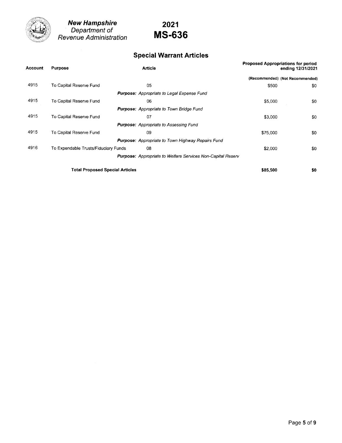

New Hampshire Department of Revenue Administration

## 2021 MS-636

### Special Warrant Articles

| <b>Account</b> | <b>Purpose</b>                         | <b>Article</b>                                                     |          | Proposed Appropriations for period<br>ending 12/31/2021 |  |  |
|----------------|----------------------------------------|--------------------------------------------------------------------|----------|---------------------------------------------------------|--|--|
|                |                                        |                                                                    |          | (Recommended) (Not Recommended)                         |  |  |
| 4915           | To Capital Reserve Fund                | 05                                                                 | \$500    | \$0                                                     |  |  |
|                |                                        | <b>Purpose:</b> Appropriate to Legal Expense Fund                  |          |                                                         |  |  |
| 4915           | To Capital Reserve Fund                | 06                                                                 | \$5,000  | \$0                                                     |  |  |
|                |                                        | <b>Purpose:</b> Appropriate to Town Bridge Fund                    |          |                                                         |  |  |
| 4915           | To Capital Reserve Fund                | 07                                                                 | \$3,000  | \$0                                                     |  |  |
|                |                                        | <b>Purpose:</b> Appropriate to Assessing Fund                      |          |                                                         |  |  |
| 4915           | To Capital Reserve Fund                | 09                                                                 | \$75,000 | -50                                                     |  |  |
|                |                                        | <b>Purpose:</b> Appropriate to Town Highway Repairs Fund           |          |                                                         |  |  |
| 4916           | To Expendable Trusts/Fiduciary Funds   | 08                                                                 | \$2,000  | -50                                                     |  |  |
|                |                                        | <b>Purpose:</b> Appropriate to Welfare Services Non-Capital Reserv |          |                                                         |  |  |
|                | <b>Total Proposed Special Articles</b> |                                                                    | \$85,500 | \$0                                                     |  |  |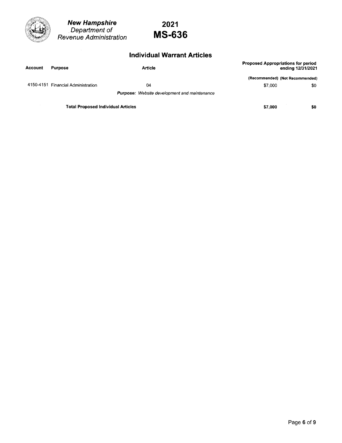

New Hampshire Department of Revenue Administration

## 2021 MS-636

### lndividual Warrant Articles

| <b>Account</b> | <b>Purpose</b>                            | <b>Article</b>                                      |         | <b>Proposed Appropriations for period</b><br>ending 12/31/2021 |
|----------------|-------------------------------------------|-----------------------------------------------------|---------|----------------------------------------------------------------|
|                |                                           |                                                     |         | (Recommended) (Not Recommended)                                |
|                | 4150-4151 Financial Administration        | 04                                                  | \$7,000 | \$0                                                            |
|                |                                           | <b>Purpose:</b> Website development and maintenance |         |                                                                |
|                | <b>Total Proposed Individual Articles</b> |                                                     | \$7,000 | \$0                                                            |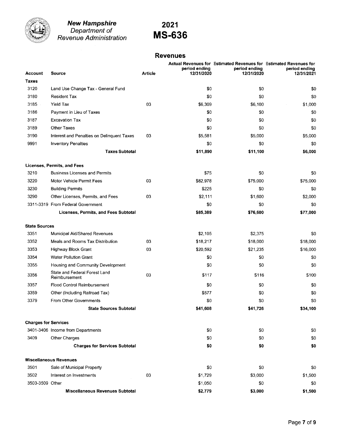

**New Hampshire**<br>Department of<br>Revenue Administration

# 2021 **MS-636**

#### **Revenues**

|                             |                                                |                | period ending | Actual Revenues for Estimated Revenues for Estimated Revenues for<br>period ending | period ending |
|-----------------------------|------------------------------------------------|----------------|---------------|------------------------------------------------------------------------------------|---------------|
| Account                     | <b>Source</b>                                  | <b>Article</b> | 12/31/2020    | 12/31/2020                                                                         | 12/31/2021    |
| Taxes<br>3120               |                                                |                |               |                                                                                    |               |
|                             | Land Use Change Tax - General Fund             |                | \$0           | \$0                                                                                | \$0           |
| 3180                        | Resident Tax                                   |                | \$0           | \$0                                                                                | \$0           |
| 3185                        | <b>Yield Tax</b>                               | 03             | \$6,309       | \$6,100                                                                            | \$1,000       |
| 3186                        | Payment in Lieu of Taxes                       |                | \$0           | \$0                                                                                | \$0           |
| 3187                        | <b>Excavation Tax</b>                          |                | \$0           | \$0                                                                                | \$0           |
| 3189                        | <b>Other Taxes</b>                             |                | \$0           | \$0                                                                                | \$0           |
| 3190                        | Interest and Penalties on Delinquent Taxes     | 03             | \$5,581       | \$5,000                                                                            | \$5,000       |
| 9991                        | <b>Inventory Penalties</b>                     |                | \$0           | \$0                                                                                | \$0           |
|                             | <b>Taxes Subtotal</b>                          |                | \$11,890      | \$11,100                                                                           | \$6,000       |
|                             | Licenses, Permits, and Fees                    |                |               |                                                                                    |               |
| 3210                        | <b>Business Licenses and Permits</b>           |                | \$75          | \$0                                                                                | \$0           |
| 3220                        | Motor Vehicle Permit Fees                      | 03             | \$82,978      | \$75,000                                                                           | \$75,000      |
| 3230                        | <b>Building Permits</b>                        |                | \$225         | \$0                                                                                | \$0           |
| 3290                        | Other Licenses, Permits, and Fees              | 03             | \$2,111       | \$1,600                                                                            | \$2,000       |
|                             | 3311-3319 From Federal Government              |                | \$0           | \$0                                                                                | \$0           |
|                             | Licenses, Permits, and Fees Subtotal           |                | \$85,389      | \$76,600                                                                           | \$77,000      |
| <b>State Sources</b>        |                                                |                |               |                                                                                    |               |
| 3351                        | Municipal Aid/Shared Revenues                  |                | \$2,105       | \$2,375                                                                            | \$0           |
| 3352                        | Meals and Rooms Tax Distribution               | 03             | \$18,217      | \$18,000                                                                           | \$18,000      |
| 3353                        | Highway Block Grant                            | 03             | \$20,592      | \$21,235                                                                           | \$16,000      |
| 3354                        | <b>Water Pollution Grant</b>                   |                | \$0           | \$0                                                                                | \$0           |
| 3355                        | Housing and Community Development              |                | \$0           | \$0                                                                                | \$0           |
| 3356                        | State and Federal Forest Land<br>Reimbursement | 03             | \$117         | \$116                                                                              | \$100         |
| 3357                        | <b>Flood Control Reimbursement</b>             |                | \$0           | \$0                                                                                | \$0           |
| 3359                        | Other (Including Railroad Tax)                 |                | \$577         | \$0                                                                                | \$0           |
| 3379                        | <b>From Other Governments</b>                  |                | \$0           | \$0                                                                                | \$0           |
|                             | <b>State Sources Subtotal</b>                  |                | \$41,608      | \$41,726                                                                           | \$34,100      |
| <b>Charges for Services</b> |                                                |                |               |                                                                                    |               |
|                             | 3401-3406 Income from Departments              |                | \$0           | \$0                                                                                | \$0           |
| 3409                        | Other Charges                                  |                | \$0           | \$0                                                                                | \$0           |
|                             | <b>Charges for Services Subtotal</b>           |                | \$0           | \$0                                                                                | \$0           |
|                             | <b>Miscellaneous Revenues</b>                  |                |               |                                                                                    |               |
| 3501                        | Sale of Municipal Property                     |                | \$0           | \$0                                                                                | \$0           |
| 3502                        | Interest on Investments                        | 03             | \$1,729       | \$3,000                                                                            | \$1,500       |
| 3503-3509 Other             |                                                |                | \$1,050       | \$0                                                                                | \$0           |
|                             | <b>Miscellaneous Revenues Subtotal</b>         |                | \$2,779       | \$3,000                                                                            | \$1,500       |
|                             |                                                |                |               |                                                                                    |               |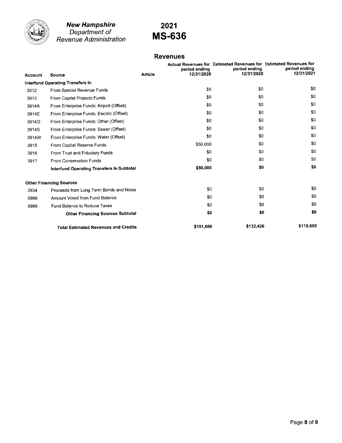

#### New Hampshire Department of Revenue Administration

## 2021 MS-636

### Revenues

| <b>Account</b> | <b>Source</b>                               | <b>Article</b> | period ending<br>12/31/2020 | Actual Revenues for Estimated Revenues for Estimated Revenues for<br>period ending<br>12/31/2020 | period ending<br>12/31/2021 |
|----------------|---------------------------------------------|----------------|-----------------------------|--------------------------------------------------------------------------------------------------|-----------------------------|
|                | <b>Interfund Operating Transfers in</b>     |                |                             |                                                                                                  |                             |
| 3912           | From Special Revenue Funds                  |                | \$0                         | \$0                                                                                              | \$0                         |
| 3913           | <b>From Capital Projects Funds</b>          |                | \$0                         | \$0                                                                                              | \$0                         |
| 3914A          | From Enterprise Funds: Airport (Offset)     |                | \$0                         | \$0                                                                                              | \$0                         |
| 3914E          | From Enterprise Funds: Electric (Offset)    |                | \$0                         | \$0                                                                                              | \$0                         |
| 39140          | From Enterprise Funds: Other (Offset)       |                | \$0                         | \$0                                                                                              | \$0                         |
| 3914S          | From Enterprise Funds: Sewer (Offset)       |                | \$0                         | \$0                                                                                              | \$0                         |
| 3914W          | From Enterprise Funds: Water (Offset)       |                | \$0                         | \$0                                                                                              | \$0                         |
| 3915           | From Capital Reserve Funds                  |                | \$50,000                    | \$0                                                                                              | \$0                         |
| 3916           | From Trust and Fiduciary Funds              |                | \$0                         | \$0                                                                                              | \$0                         |
| 3917           | From Conservation Funds                     |                | \$0                         | \$0                                                                                              | \$0                         |
|                | Interfund Operating Transfers In Subtotal   |                | \$50,000                    | \$0                                                                                              | \$0                         |
|                | <b>Other Financing Sources</b>              |                |                             |                                                                                                  |                             |
| 3934           | Proceeds from Long Term Bonds and Notes     |                | \$0                         | \$0                                                                                              | \$0                         |
| 9998           | Amount Voted from Fund Balance              |                | \$0                         | \$0                                                                                              | \$0                         |
| 9999           | <b>Fund Balance to Reduce Taxes</b>         |                | \$0                         | \$0                                                                                              | \$0                         |
|                | <b>Other Financing Sources Subtotal</b>     |                | \$0                         | \$0                                                                                              | \$0                         |
|                | <b>Total Estimated Revenues and Credits</b> |                | \$191,666                   | \$132,426                                                                                        | \$118,600                   |